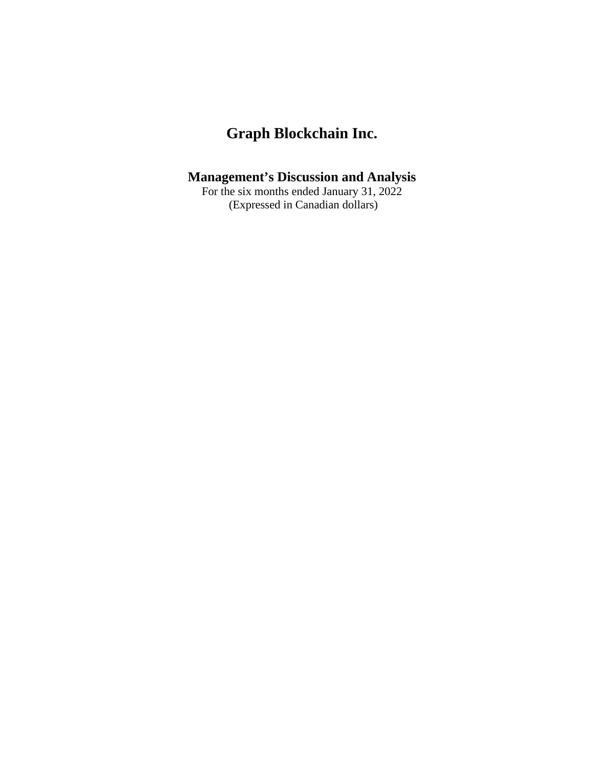# **Management's Discussion and Analysis**

For the six months ended January 31, 2022 (Expressed in Canadian dollars)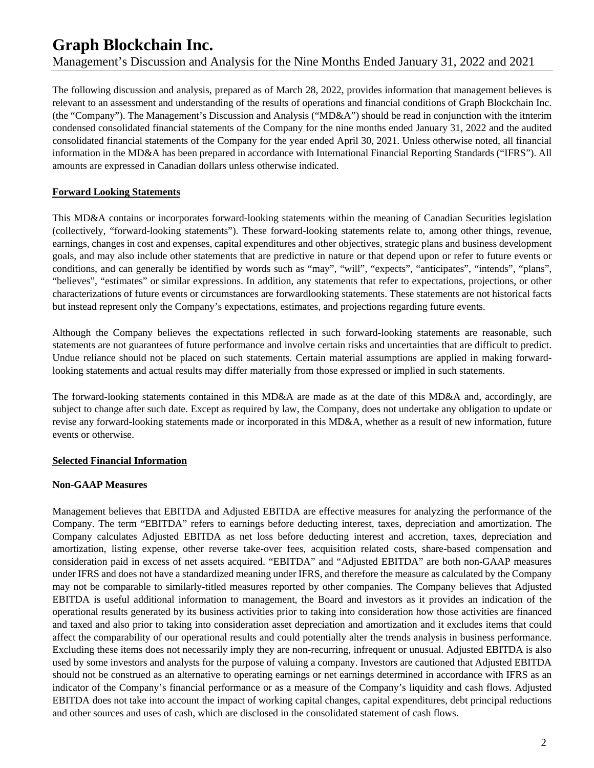The following discussion and analysis, prepared as of March 28, 2022, provides information that management believes is relevant to an assessment and understanding of the results of operations and financial conditions of Graph Blockchain Inc. (the "Company"). The Management's Discussion and Analysis ("MD&A") should be read in conjunction with the itnterim condensed consolidated financial statements of the Company for the nine months ended January 31, 2022 and the audited consolidated financial statements of the Company for the year ended April 30, 2021. Unless otherwise noted, all financial information in the MD&A has been prepared in accordance with International Financial Reporting Standards ("IFRS"). All amounts are expressed in Canadian dollars unless otherwise indicated.

### **Forward Looking Statements**

This MD&A contains or incorporates forward-looking statements within the meaning of Canadian Securities legislation (collectively, "forward-looking statements"). These forward-looking statements relate to, among other things, revenue, earnings, changes in cost and expenses, capital expenditures and other objectives, strategic plans and business development goals, and may also include other statements that are predictive in nature or that depend upon or refer to future events or conditions, and can generally be identified by words such as "may", "will", "expects", "anticipates", "intends", "plans", "believes", "estimates" or similar expressions. In addition, any statements that refer to expectations, projections, or other characterizations of future events or circumstances are forwardlooking statements. These statements are not historical facts but instead represent only the Company's expectations, estimates, and projections regarding future events.

Although the Company believes the expectations reflected in such forward-looking statements are reasonable, such statements are not guarantees of future performance and involve certain risks and uncertainties that are difficult to predict. Undue reliance should not be placed on such statements. Certain material assumptions are applied in making forwardlooking statements and actual results may differ materially from those expressed or implied in such statements.

The forward-looking statements contained in this MD&A are made as at the date of this MD&A and, accordingly, are subject to change after such date. Except as required by law, the Company, does not undertake any obligation to update or revise any forward-looking statements made or incorporated in this MD&A, whether as a result of new information, future events or otherwise.

### **Selected Financial Information**

### **Non-GAAP Measures**

Management believes that EBITDA and Adjusted EBITDA are effective measures for analyzing the performance of the Company. The term "EBITDA" refers to earnings before deducting interest, taxes, depreciation and amortization. The Company calculates Adjusted EBITDA as net loss before deducting interest and accretion, taxes, depreciation and amortization, listing expense, other reverse take-over fees, acquisition related costs, share-based compensation and consideration paid in excess of net assets acquired. "EBITDA" and "Adjusted EBITDA" are both non-GAAP measures under IFRS and does not have a standardized meaning under IFRS, and therefore the measure as calculated by the Company may not be comparable to similarly-titled measures reported by other companies. The Company believes that Adjusted EBITDA is useful additional information to management, the Board and investors as it provides an indication of the operational results generated by its business activities prior to taking into consideration how those activities are financed and taxed and also prior to taking into consideration asset depreciation and amortization and it excludes items that could affect the comparability of our operational results and could potentially alter the trends analysis in business performance. Excluding these items does not necessarily imply they are non-recurring, infrequent or unusual. Adjusted EBITDA is also used by some investors and analysts for the purpose of valuing a company. Investors are cautioned that Adjusted EBITDA should not be construed as an alternative to operating earnings or net earnings determined in accordance with IFRS as an indicator of the Company's financial performance or as a measure of the Company's liquidity and cash flows. Adjusted EBITDA does not take into account the impact of working capital changes, capital expenditures, debt principal reductions and other sources and uses of cash, which are disclosed in the consolidated statement of cash flows.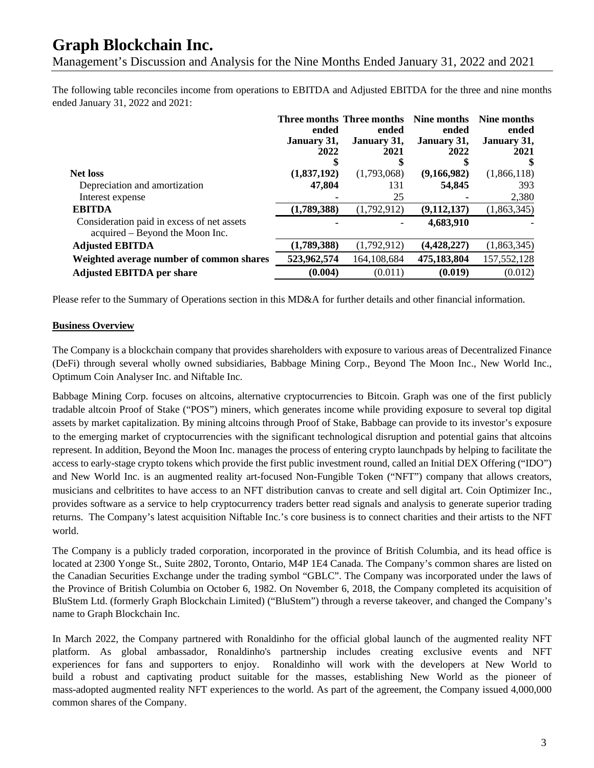Management's Discussion and Analysis for the Nine Months Ended January 31, 2022 and 2021

The following table reconciles income from operations to EBITDA and Adjusted EBITDA for the three and nine months ended January 31, 2022 and 2021:

|                                                                               |             | Three months Three months | Nine months   | Nine months   |
|-------------------------------------------------------------------------------|-------------|---------------------------|---------------|---------------|
|                                                                               | ended       | ended                     | ended         | ended         |
|                                                                               | January 31, | January 31,               | January 31,   | January 31,   |
|                                                                               | 2022        | 2021                      | 2022          | 2021          |
|                                                                               | ъ           |                           |               |               |
| <b>Net loss</b>                                                               | (1,837,192) | (1,793,068)               | (9,166,982)   | (1,866,118)   |
| Depreciation and amortization                                                 | 47,804      | 131                       | 54,845        | 393           |
| Interest expense                                                              |             | 25                        |               | 2,380         |
| <b>EBITDA</b>                                                                 | (1,789,388) | (1,792,912)               | (9, 112, 137) | (1,863,345)   |
| Consideration paid in excess of net assets<br>acquired – Beyond the Moon Inc. |             |                           | 4,683,910     |               |
| <b>Adjusted EBITDA</b>                                                        | (1,789,388) | (1,792,912)               | (4, 428, 227) | (1,863,345)   |
| Weighted average number of common shares                                      | 523,962,574 | 164,108,684               | 475,183,804   | 157, 552, 128 |
| <b>Adjusted EBITDA per share</b>                                              | (0.004)     | (0.011)                   | (0.019)       | (0.012)       |

Please refer to the Summary of Operations section in this MD&A for further details and other financial information.

#### **Business Overview**

The Company is a blockchain company that provides shareholders with exposure to various areas of Decentralized Finance (DeFi) through several wholly owned subsidiaries, Babbage Mining Corp., Beyond The Moon Inc., New World Inc., Optimum Coin Analyser Inc. and Niftable Inc.

Babbage Mining Corp. focuses on altcoins, alternative cryptocurrencies to Bitcoin. Graph was one of the first publicly tradable altcoin Proof of Stake ("POS") miners, which generates income while providing exposure to several top digital assets by market capitalization. By mining altcoins through Proof of Stake, Babbage can provide to its investor's exposure to the emerging market of cryptocurrencies with the significant technological disruption and potential gains that altcoins represent. In addition, Beyond the Moon Inc. manages the process of entering crypto launchpads by helping to facilitate the access to early-stage crypto tokens which provide the first public investment round, called an Initial DEX Offering ("IDO") and New World Inc. is an augmented reality art-focused Non-Fungible Token ("NFT") company that allows creators, musicians and celbritites to have access to an NFT distribution canvas to create and sell digital art. Coin Optimizer Inc., provides software as a service to help cryptocurrency traders better read signals and analysis to generate superior trading returns. The Company's latest acquisition Niftable Inc.'s core business is to connect charities and their artists to the NFT world.

The Company is a publicly traded corporation, incorporated in the province of British Columbia, and its head office is located at 2300 Yonge St., Suite 2802, Toronto, Ontario, M4P 1E4 Canada. The Company's common shares are listed on the Canadian Securities Exchange under the trading symbol "GBLC". The Company was incorporated under the laws of the Province of British Columbia on October 6, 1982. On November 6, 2018, the Company completed its acquisition of BluStem Ltd. (formerly Graph Blockchain Limited) ("BluStem") through a reverse takeover, and changed the Company's name to Graph Blockchain Inc.

In March 2022, the Company partnered with Ronaldinho for the official global launch of the augmented reality NFT platform. As global ambassador, Ronaldinho's partnership includes creating exclusive events and NFT experiences for fans and supporters to enjoy. Ronaldinho will work with the developers at New World to build a robust and captivating product suitable for the masses, establishing New World as the pioneer of mass-adopted augmented reality NFT experiences to the world. As part of the agreement, the Company issued 4,000,000 common shares of the Company.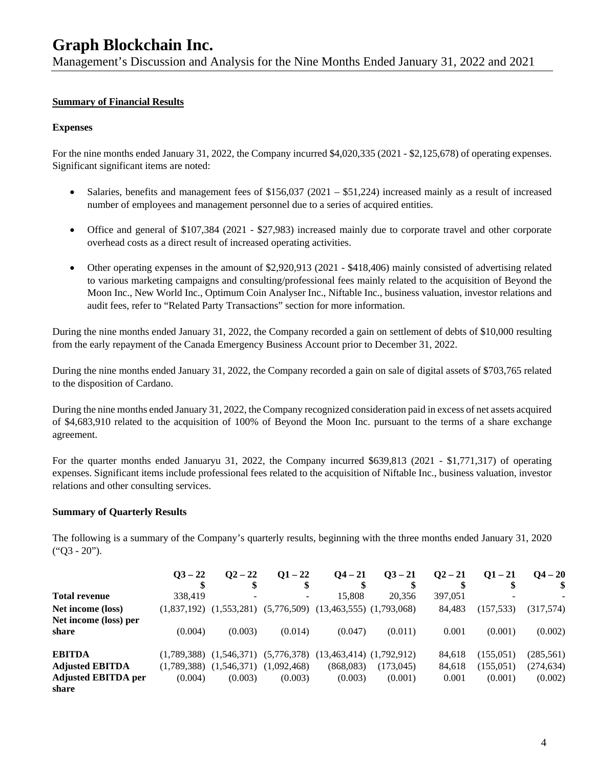Management's Discussion and Analysis for the Nine Months Ended January 31, 2022 and 2021

### **Summary of Financial Results**

#### **Expenses**

For the nine months ended January 31, 2022, the Company incurred \$4,020,335 (2021 - \$2,125,678) of operating expenses. Significant significant items are noted:

- Salaries, benefits and management fees of \$156,037 (2021 \$51,224) increased mainly as a result of increased number of employees and management personnel due to a series of acquired entities.
- Office and general of \$107,384 (2021 \$27,983) increased mainly due to corporate travel and other corporate overhead costs as a direct result of increased operating activities.
- Other operating expenses in the amount of \$2,920,913 (2021 \$418,406) mainly consisted of advertising related to various marketing campaigns and consulting/professional fees mainly related to the acquisition of Beyond the Moon Inc., New World Inc., Optimum Coin Analyser Inc., Niftable Inc., business valuation, investor relations and audit fees, refer to "Related Party Transactions" section for more information.

During the nine months ended January 31, 2022, the Company recorded a gain on settlement of debts of \$10,000 resulting from the early repayment of the Canada Emergency Business Account prior to December 31, 2022.

During the nine months ended January 31, 2022, the Company recorded a gain on sale of digital assets of \$703,765 related to the disposition of Cardano.

During the nine months ended January 31, 2022, the Company recognized consideration paid in excess of net assets acquired of \$4,683,910 related to the acquisition of 100% of Beyond the Moon Inc. pursuant to the terms of a share exchange agreement.

For the quarter months ended Januaryu 31, 2022, the Company incurred \$639,813 (2021 - \$1,771,317) of operating expenses. Significant items include professional fees related to the acquisition of Niftable Inc., business valuation, investor relations and other consulting services.

#### **Summary of Quarterly Results**

The following is a summary of the Company's quarterly results, beginning with the three months ended January 31, 2020 ("Q3 - 20").

|                            | $Q_{}^{3}-22$ | $Q^2 - 22$  | $Q1 - 22$   | $Q_4 - 21$                                 | $03 - 21$  | $Q^2 - 21$ | $O1 - 21$  | $Q4 - 20$ |
|----------------------------|---------------|-------------|-------------|--------------------------------------------|------------|------------|------------|-----------|
|                            |               | \$          |             |                                            |            |            |            |           |
| <b>Total revenue</b>       | 338,419       |             |             | 15.808                                     | 20,356     | 397,051    |            |           |
| Net income (loss)          | (1.837.192)   | (1,553,281) |             | $(5,776,509)$ $(13,463,555)$ $(1,793,068)$ |            | 84.483     | (157, 533) | (317,574) |
| Net income (loss) per      |               |             |             |                                            |            |            |            |           |
| share                      | (0.004)       | (0.003)     | (0.014)     | (0.047)                                    | (0.011)    | 0.001      | (0.001)    | (0.002)   |
| <b>EBITDA</b>              | (1.789.388)   | (1,546,371) | (5,776,378) | $(13,463,414)$ $(1,792,912)$               |            | 84.618     | (155,051)  | (285,561) |
| <b>Adjusted EBITDA</b>     | (1,789,388)   | (1,546,371) | (1,092,468) | (868,083)                                  | (173, 045) | 84,618     | (155,051)  | (274,634) |
| <b>Adjusted EBITDA per</b> | (0.004)       | (0.003)     | (0.003)     | (0.003)                                    | (0.001)    | 0.001      | (0.001)    | (0.002)   |
| share                      |               |             |             |                                            |            |            |            |           |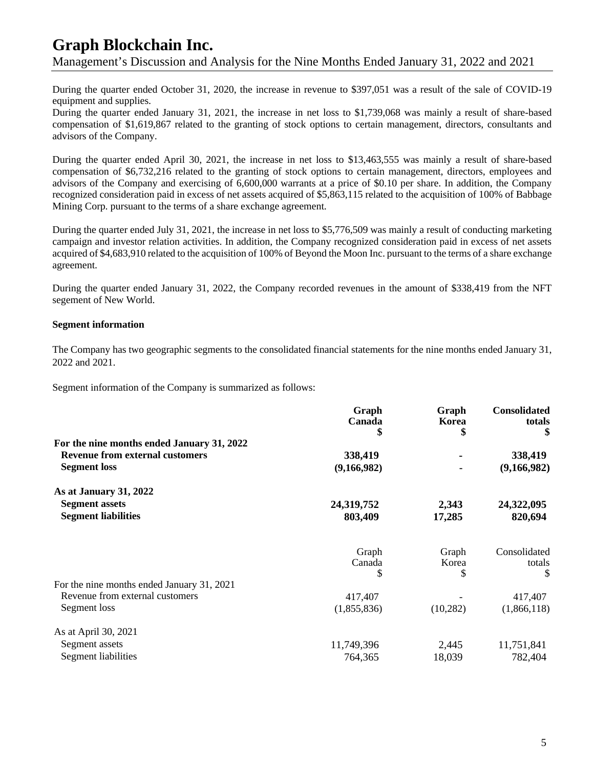# **Graph Blockchain Inc.** Management's Discussion and Analysis for the Nine Months Ended January 31, 2022 and 2021

During the quarter ended October 31, 2020, the increase in revenue to \$397,051 was a result of the sale of COVID-19 equipment and supplies.

During the quarter ended January 31, 2021, the increase in net loss to \$1,739,068 was mainly a result of share-based compensation of \$1,619,867 related to the granting of stock options to certain management, directors, consultants and advisors of the Company.

During the quarter ended April 30, 2021, the increase in net loss to \$13,463,555 was mainly a result of share-based compensation of \$6,732,216 related to the granting of stock options to certain management, directors, employees and advisors of the Company and exercising of 6,600,000 warrants at a price of \$0.10 per share. In addition, the Company recognized consideration paid in excess of net assets acquired of \$5,863,115 related to the acquisition of 100% of Babbage Mining Corp. pursuant to the terms of a share exchange agreement.

During the quarter ended July 31, 2021, the increase in net loss to \$5,776,509 was mainly a result of conducting marketing campaign and investor relation activities. In addition, the Company recognized consideration paid in excess of net assets acquired of \$4,683,910 related to the acquisition of 100% of Beyond the Moon Inc. pursuant to the terms of a share exchange agreement.

During the quarter ended January 31, 2022, the Company recorded revenues in the amount of \$338,419 from the NFT segement of New World.

#### **Segment information**

The Company has two geographic segments to the consolidated financial statements for the nine months ended January 31, 2022 and 2021.

Segment information of the Company is summarized as follows:

|                                                                                      | Graph       | Graph     | <b>Consolidated</b> |
|--------------------------------------------------------------------------------------|-------------|-----------|---------------------|
|                                                                                      | Canada      | Korea     | totals              |
|                                                                                      |             |           | \$                  |
| For the nine months ended January 31, 2022<br><b>Revenue from external customers</b> |             |           |                     |
|                                                                                      | 338,419     |           | 338,419             |
| <b>Segment</b> loss                                                                  | (9,166,982) |           | (9,166,982)         |
| As at January 31, 2022                                                               |             |           |                     |
| <b>Segment assets</b>                                                                | 24,319,752  | 2,343     | 24,322,095          |
| <b>Segment liabilities</b>                                                           | 803,409     | 17,285    | 820,694             |
|                                                                                      | Graph       | Graph     | Consolidated        |
|                                                                                      | Canada      | Korea     | totals              |
|                                                                                      | S           | S         | \$                  |
| For the nine months ended January 31, 2021                                           |             |           |                     |
| Revenue from external customers                                                      | 417,407     |           | 417,407             |
| Segment loss                                                                         | (1,855,836) | (10, 282) | (1,866,118)         |
| As at April 30, 2021                                                                 |             |           |                     |
| Segment assets                                                                       | 11,749,396  | 2,445     | 11,751,841          |
| Segment liabilities                                                                  | 764,365     | 18,039    | 782,404             |
|                                                                                      |             |           |                     |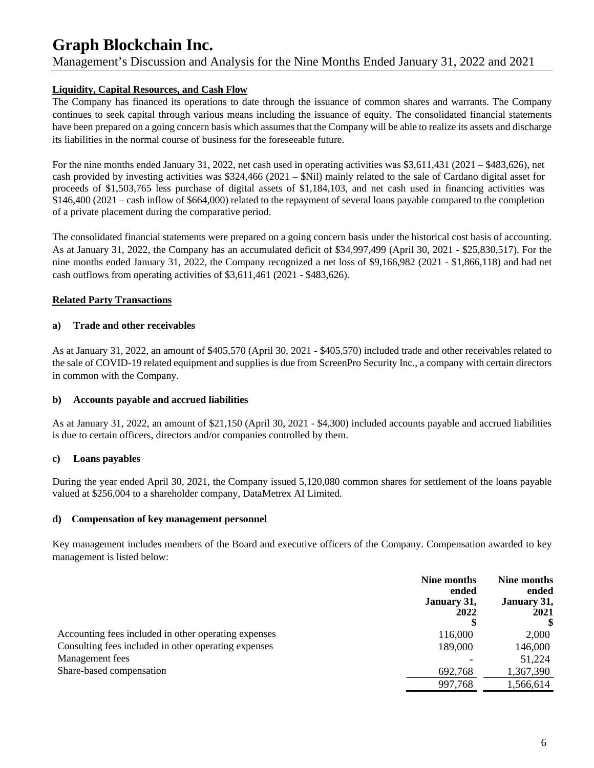# Management's Discussion and Analysis for the Nine Months Ended January 31, 2022 and 2021

#### **Liquidity, Capital Resources, and Cash Flow**

The Company has financed its operations to date through the issuance of common shares and warrants. The Company continues to seek capital through various means including the issuance of equity. The consolidated financial statements have been prepared on a going concern basis which assumes that the Company will be able to realize its assets and discharge its liabilities in the normal course of business for the foreseeable future.

For the nine months ended January 31, 2022, net cash used in operating activities was \$3,611,431 (2021 – \$483,626), net cash provided by investing activities was \$324,466 (2021 – \$Nil) mainly related to the sale of Cardano digital asset for proceeds of \$1,503,765 less purchase of digital assets of \$1,184,103, and net cash used in financing activities was \$146,400 (2021 – cash inflow of \$664,000) related to the repayment of several loans payable compared to the completion of a private placement during the comparative period.

The consolidated financial statements were prepared on a going concern basis under the historical cost basis of accounting. As at January 31, 2022, the Company has an accumulated deficit of \$34,997,499 (April 30, 2021 - \$25,830,517). For the nine months ended January 31, 2022, the Company recognized a net loss of \$9,166,982 (2021 - \$1,866,118) and had net cash outflows from operating activities of \$3,611,461 (2021 - \$483,626).

#### **Related Party Transactions**

#### **a) Trade and other receivables**

As at January 31, 2022, an amount of \$405,570 (April 30, 2021 - \$405,570) included trade and other receivables related to the sale of COVID-19 related equipment and supplies is due from ScreenPro Security Inc., a company with certain directors in common with the Company.

#### **b) Accounts payable and accrued liabilities**

As at January 31, 2022, an amount of \$21,150 (April 30, 2021 - \$4,300) included accounts payable and accrued liabilities is due to certain officers, directors and/or companies controlled by them.

#### **c) Loans payables**

During the year ended April 30, 2021, the Company issued 5,120,080 common shares for settlement of the loans payable valued at \$256,004 to a shareholder company, DataMetrex AI Limited.

#### **d) Compensation of key management personnel**

Key management includes members of the Board and executive officers of the Company. Compensation awarded to key management is listed below:

|                                                      | Nine months<br>ended<br>January 31,<br>2022 | Nine months<br>ended<br>January 31,<br>2021 |
|------------------------------------------------------|---------------------------------------------|---------------------------------------------|
| Accounting fees included in other operating expenses | 116,000                                     | 2,000                                       |
| Consulting fees included in other operating expenses | 189,000                                     | 146,000                                     |
| Management fees                                      |                                             | 51,224                                      |
| Share-based compensation                             | 692,768                                     | 1,367,390                                   |
|                                                      | 997,768                                     | 1,566,614                                   |